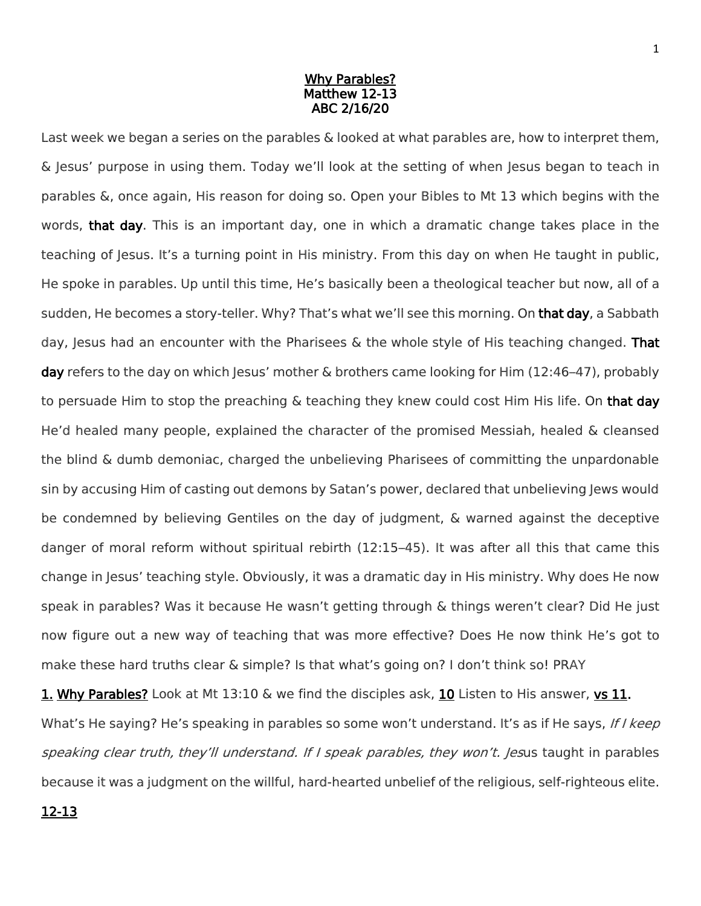## Why Parables? Matthew 12-13 ABC 2/16/20

Last week we began a series on the parables & looked at what parables are, how to interpret them, & Jesus' purpose in using them. Today we'll look at the setting of when Jesus began to teach in parables &, once again, His reason for doing so. Open your Bibles to Mt 13 which begins with the words, that day. This is an important day, one in which a dramatic change takes place in the teaching of Jesus. It's a turning point in His ministry. From this day on when He taught in public, He spoke in parables. Up until this time, He's basically been a theological teacher but now, all of a sudden, He becomes a story-teller. Why? That's what we'll see this morning. On that day, a Sabbath day, Jesus had an encounter with the Pharisees  $\&$  the whole style of His teaching changed. That day refers to the day on which Jesus' mother & brothers came looking for Him (12:46–47), probably to persuade Him to stop the preaching & teaching they knew could cost Him His life. On that day He'd healed many people, explained the character of the promised Messiah, healed & cleansed the blind & dumb demoniac, charged the unbelieving Pharisees of committing the unpardonable sin by accusing Him of casting out demons by Satan's power, declared that unbelieving Jews would be condemned by believing Gentiles on the day of judgment, & warned against the deceptive danger of moral reform without spiritual rebirth (12:15–45). It was after all this that came this change in Jesus' teaching style. Obviously, it was a dramatic day in His ministry. Why does He now speak in parables? Was it because He wasn't getting through & things weren't clear? Did He just now figure out a new way of teaching that was more effective? Does He now think He's got to make these hard truths clear & simple? Is that what's going on? I don't think so! PRAY

1. Why Parables? Look at Mt 13:10 & we find the disciples ask, 10 Listen to His answer, vs 11. What's He saying? He's speaking in parables so some won't understand. It's as if He says, If I keep speaking clear truth, they'll understand. If I speak parables, they won't. Jesus taught in parables because it was a judgment on the willful, hard-hearted unbelief of the religious, self-righteous elite.

## 12-13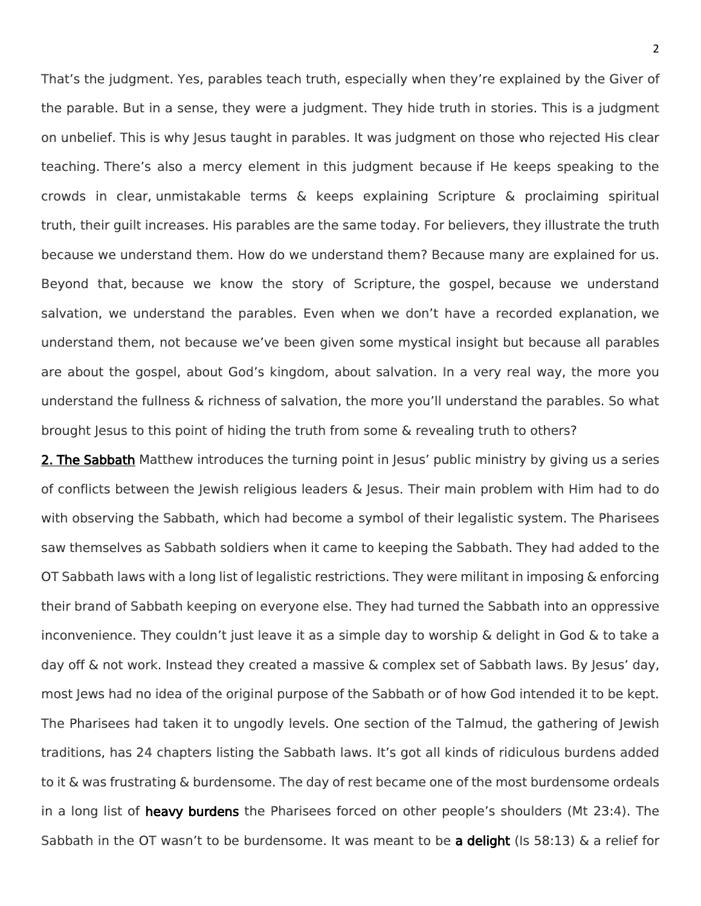That's the judgment. Yes, parables teach truth, especially when they're explained by the Giver of the parable. But in a sense, they were a judgment. They hide truth in stories. This is a judgment on unbelief. This is why Jesus taught in parables. It was judgment on those who rejected His clear teaching. There's also a mercy element in this judgment because if He keeps speaking to the crowds in clear, unmistakable terms & keeps explaining Scripture & proclaiming spiritual truth, their guilt increases. His parables are the same today. For believers, they illustrate the truth because we understand them. How do we understand them? Because many are explained for us. Beyond that, because we know the story of Scripture, the gospel, because we understand salvation, we understand the parables. Even when we don't have a recorded explanation, we understand them, not because we've been given some mystical insight but because all parables are about the gospel, about God's kingdom, about salvation. In a very real way, the more you understand the fullness & richness of salvation, the more you'll understand the parables. So what brought Jesus to this point of hiding the truth from some & revealing truth to others?

2. The Sabbath Matthew introduces the turning point in Jesus' public ministry by giving us a series of conflicts between the Jewish religious leaders & Jesus. Their main problem with Him had to do with observing the Sabbath, which had become a symbol of their legalistic system. The Pharisees saw themselves as Sabbath soldiers when it came to keeping the Sabbath. They had added to the OT Sabbath laws with a long list of legalistic restrictions. They were militant in imposing & enforcing their brand of Sabbath keeping on everyone else. They had turned the Sabbath into an oppressive inconvenience. They couldn't just leave it as a simple day to worship & delight in God & to take a day off & not work. Instead they created a massive & complex set of Sabbath laws. By Jesus' day, most Jews had no idea of the original purpose of the Sabbath or of how God intended it to be kept. The Pharisees had taken it to ungodly levels. One section of the Talmud, the gathering of Jewish traditions, has 24 chapters listing the Sabbath laws. It's got all kinds of ridiculous burdens added to it & was frustrating & burdensome. The day of rest became one of the most burdensome ordeals in a long list of heavy burdens the Pharisees forced on other people's shoulders (Mt 23:4). The Sabbath in the OT wasn't to be burdensome. It was meant to be a delight (Is 58:13) & a relief for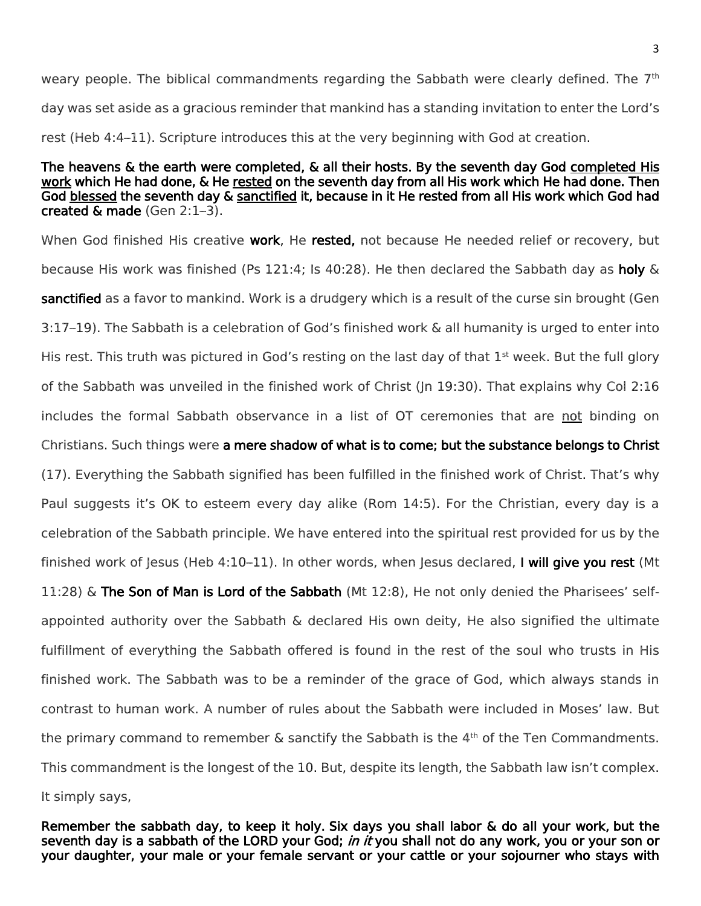weary people. The biblical commandments regarding the Sabbath were clearly defined. The 7<sup>th</sup> day was set aside as a gracious reminder that mankind has a standing invitation to enter the Lord's rest (Heb 4:4–11). Scripture introduces this at the very beginning with God at creation.

## The heavens & the earth were completed, & all their hosts. By the seventh day God completed His work which He had done, & He rested on the seventh day from all His work which He had done. Then God blessed the seventh day & sanctified it, because in it He rested from all His work which God had created & made (Gen 2:1–3).

When God finished His creative work, He rested, not because He needed relief or recovery, but because His work was finished (Ps 121:4; Is 40:28). He then declared the Sabbath day as **holy** & sanctified as a favor to mankind. Work is a drudgery which is a result of the curse sin brought (Gen 3:17–19). The Sabbath is a celebration of God's finished work & all humanity is urged to enter into His rest. This truth was pictured in God's resting on the last day of that  $1<sup>st</sup>$  week. But the full glory of the Sabbath was unveiled in the finished work of Christ (Jn 19:30). That explains why Col 2:16 includes the formal Sabbath observance in a list of OT ceremonies that are not binding on Christians. Such things were a mere shadow of what is to come; but the substance belongs to Christ (17). Everything the Sabbath signified has been fulfilled in the finished work of Christ. That's why Paul suggests it's OK to esteem every day alike (Rom 14:5). For the Christian, every day is a celebration of the Sabbath principle. We have entered into the spiritual rest provided for us by the finished work of Jesus (Heb  $4:10-11$ ). In other words, when Jesus declared, I will give you rest (Mt 11:28) & The Son of Man is Lord of the Sabbath (Mt 12:8), He not only denied the Pharisees' selfappointed authority over the Sabbath & declared His own deity, He also signified the ultimate fulfillment of everything the Sabbath offered is found in the rest of the soul who trusts in His finished work. The Sabbath was to be a reminder of the grace of God, which always stands in contrast to human work. A number of rules about the Sabbath were included in Moses' law. But the primary command to remember  $\&$  sanctify the Sabbath is the  $4<sup>th</sup>$  of the Ten Commandments. This commandment is the longest of the 10. But, despite its length, the Sabbath law isn't complex. It simply says,

Remember the sabbath day, to keep it holy. Six days you shall labor & do all your work, but the seventh day is a sabbath of the LORD your God; in it you shall not do any work, you or your son or your daughter, your male or your female servant or your cattle or your sojourner who stays with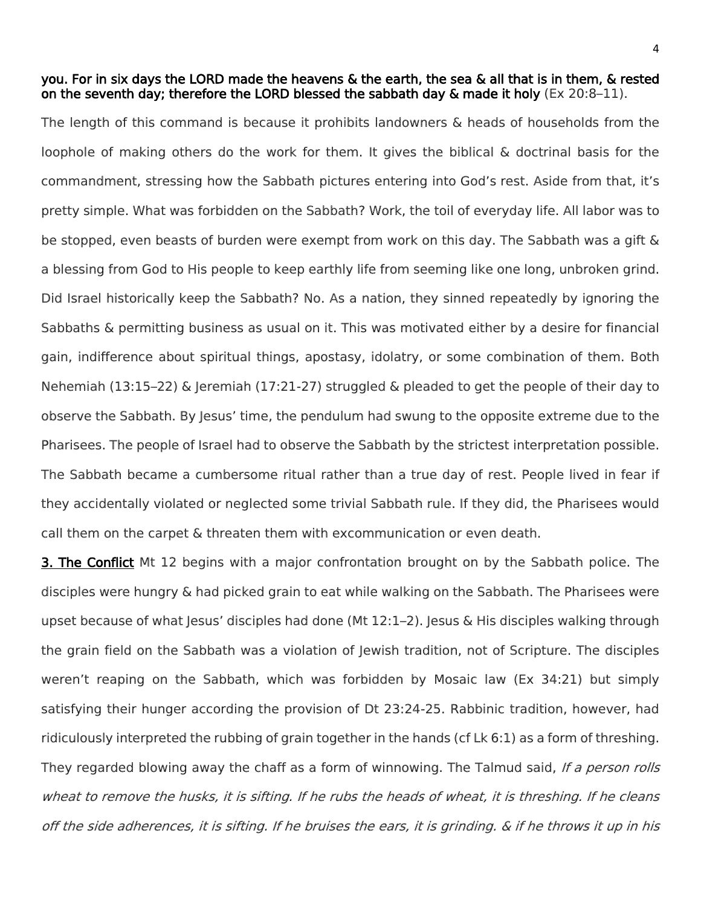## you. For in six days the LORD made the heavens & the earth, the sea & all that is in them, & rested on the seventh day; therefore the LORD blessed the sabbath day & made it holy (Ex 20:8–11).

The length of this command is because it prohibits landowners & heads of households from the loophole of making others do the work for them. It gives the biblical & doctrinal basis for the commandment, stressing how the Sabbath pictures entering into God's rest. Aside from that, it's pretty simple. What was forbidden on the Sabbath? Work, the toil of everyday life. All labor was to be stopped, even beasts of burden were exempt from work on this day. The Sabbath was a gift & a blessing from God to His people to keep earthly life from seeming like one long, unbroken grind. Did Israel historically keep the Sabbath? No. As a nation, they sinned repeatedly by ignoring the Sabbaths & permitting business as usual on it. This was motivated either by a desire for financial gain, indifference about spiritual things, apostasy, idolatry, or some combination of them. Both Nehemiah (13:15–22) & Jeremiah (17:21-27) struggled & pleaded to get the people of their day to observe the Sabbath. By Jesus' time, the pendulum had swung to the opposite extreme due to the Pharisees. The people of Israel had to observe the Sabbath by the strictest interpretation possible. The Sabbath became a cumbersome ritual rather than a true day of rest. People lived in fear if they accidentally violated or neglected some trivial Sabbath rule. If they did, the Pharisees would call them on the carpet & threaten them with excommunication or even death.

**3. The Conflict** Mt 12 begins with a major confrontation brought on by the Sabbath police. The disciples were hungry & had picked grain to eat while walking on the Sabbath. The Pharisees were upset because of what Jesus' disciples had done (Mt  $12:1-2$ ). Jesus & His disciples walking through the grain field on the Sabbath was a violation of Jewish tradition, not of Scripture. The disciples weren't reaping on the Sabbath, which was forbidden by Mosaic law (Ex 34:21) but simply satisfying their hunger according the provision of Dt 23:24-25. Rabbinic tradition, however, had ridiculously interpreted the rubbing of grain together in the hands (cf Lk 6:1) as a form of threshing. They regarded blowing away the chaff as a form of winnowing. The Talmud said, If a person rolls wheat to remove the husks, it is sifting. If he rubs the heads of wheat, it is threshing. If he cleans off the side adherences, it is sifting. If he bruises the ears, it is grinding. & if he throws it up in his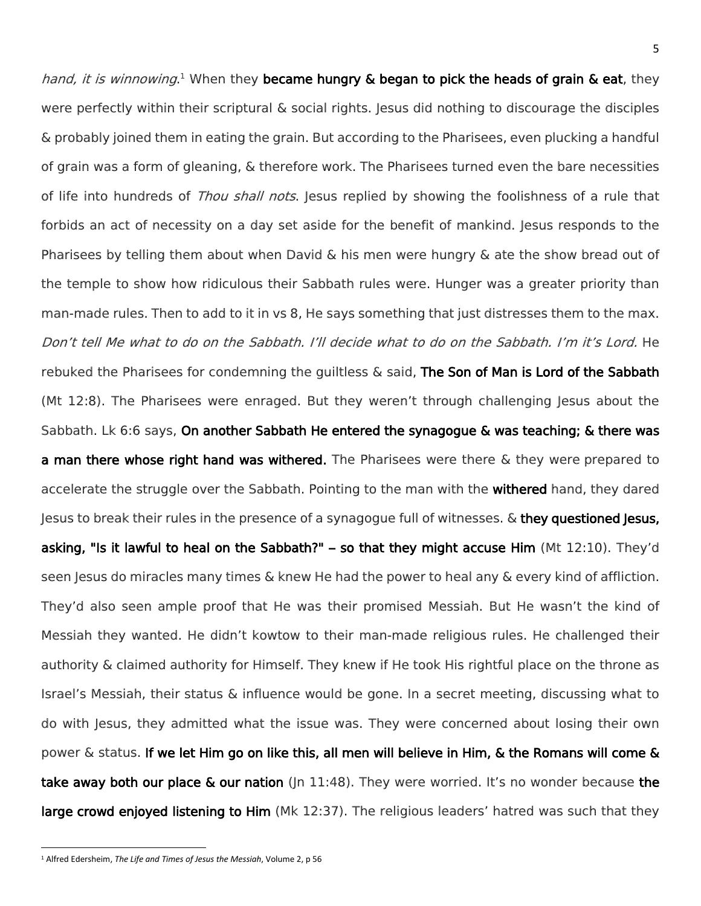hand, it is winnowing.<sup>1</sup> When they **became hungry & began to pick the heads of grain & eat**, they were perfectly within their scriptural & social rights. Jesus did nothing to discourage the disciples & probably joined them in eating the grain. But according to the Pharisees, even plucking a handful of grain was a form of gleaning, & therefore work. The Pharisees turned even the bare necessities of life into hundreds of Thou shall nots. Jesus replied by showing the foolishness of a rule that forbids an act of necessity on a day set aside for the benefit of mankind. Jesus responds to the Pharisees by telling them about when David & his men were hungry & ate the show bread out of the temple to show how ridiculous their Sabbath rules were. Hunger was a greater priority than man-made rules. Then to add to it in vs 8, He says something that just distresses them to the max. Don't tell Me what to do on the Sabbath. I'll decide what to do on the Sabbath. I'm it's Lord. He rebuked the Pharisees for condemning the guiltless  $\&$  said, The Son of Man is Lord of the Sabbath (Mt 12:8). The Pharisees were enraged. But they weren't through challenging Jesus about the Sabbath. Lk 6:6 says, On another Sabbath He entered the synagogue & was teaching; & there was a man there whose right hand was withered. The Pharisees were there  $\&$  they were prepared to accelerate the struggle over the Sabbath. Pointing to the man with the withered hand, they dared Jesus to break their rules in the presence of a synagogue full of witnesses. & they questioned Jesus, asking, "Is it lawful to heal on the Sabbath?" – so that they might accuse Him (Mt 12:10). They'd seen Jesus do miracles many times & knew He had the power to heal any & every kind of affliction. They'd also seen ample proof that He was their promised Messiah. But He wasn't the kind of Messiah they wanted. He didn't kowtow to their man-made religious rules. He challenged their authority & claimed authority for Himself. They knew if He took His rightful place on the throne as Israel's Messiah, their status & influence would be gone. In a secret meeting, discussing what to do with Jesus, they admitted what the issue was. They were concerned about losing their own power  $\&$  status. If we let Him go on like this, all men will believe in Him,  $\&$  the Romans will come  $\&$ take away both our place & our nation (|n 11:48). They were worried. It's no wonder because the large crowd enjoyed listening to Him (Mk 12:37). The religious leaders' hatred was such that they

 $\overline{\phantom{a}}$ 

<sup>1</sup> Alfred Edersheim, *The Life and Times of Jesus the Messiah*, Volume 2, p 56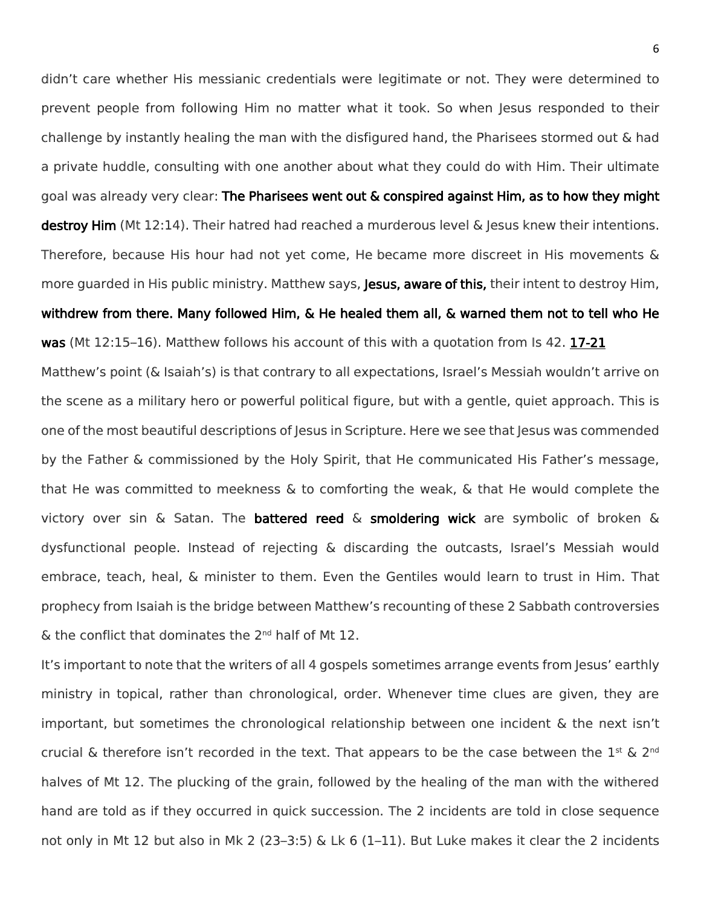didn't care whether His messianic credentials were legitimate or not. They were determined to prevent people from following Him no matter what it took. So when Jesus responded to their challenge by instantly healing the man with the disfigured hand, the Pharisees stormed out & had a private huddle, consulting with one another about what they could do with Him. Their ultimate goal was already very clear: The Pharisees went out & conspired against Him, as to how they might destroy Him (Mt 12:14). Their hatred had reached a murderous level & Jesus knew their intentions. Therefore, because His hour had not yet come, He became more discreet in His movements & more guarded in His public ministry. Matthew says, Jesus, aware of this, their intent to destroy Him, withdrew from there. Many followed Him, & He healed them all, & warned them not to tell who He was (Mt 12:15-16). Matthew follows his account of this with a quotation from Is 42. 17-21 Matthew's point (& Isaiah's) is that contrary to all expectations, Israel's Messiah wouldn't arrive on the scene as a military hero or powerful political figure, but with a gentle, quiet approach. This is one of the most beautiful descriptions of Jesus in Scripture. Here we see that Jesus was commended by the Father & commissioned by the Holy Spirit, that He communicated His Father's message, that He was committed to meekness & to comforting the weak, & that He would complete the victory over sin & Satan. The **battered reed** & smoldering wick are symbolic of broken & dysfunctional people. Instead of rejecting & discarding the outcasts, Israel's Messiah would embrace, teach, heal, & minister to them. Even the Gentiles would learn to trust in Him. That prophecy from Isaiah is the bridge between Matthew's recounting of these 2 Sabbath controversies

 $\&$  the conflict that dominates the 2<sup>nd</sup> half of Mt 12.

It's important to note that the writers of all 4 gospels sometimes arrange events from Jesus' earthly ministry in topical, rather than chronological, order. Whenever time clues are given, they are important, but sometimes the chronological relationship between one incident & the next isn't crucial & therefore isn't recorded in the text. That appears to be the case between the  $1^{\text{st}}$  & 2<sup>nd</sup> halves of Mt 12. The plucking of the grain, followed by the healing of the man with the withered hand are told as if they occurred in quick succession. The 2 incidents are told in close sequence not only in Mt 12 but also in Mk 2 (23–3:5) & Lk 6 (1–11). But Luke makes it clear the 2 incidents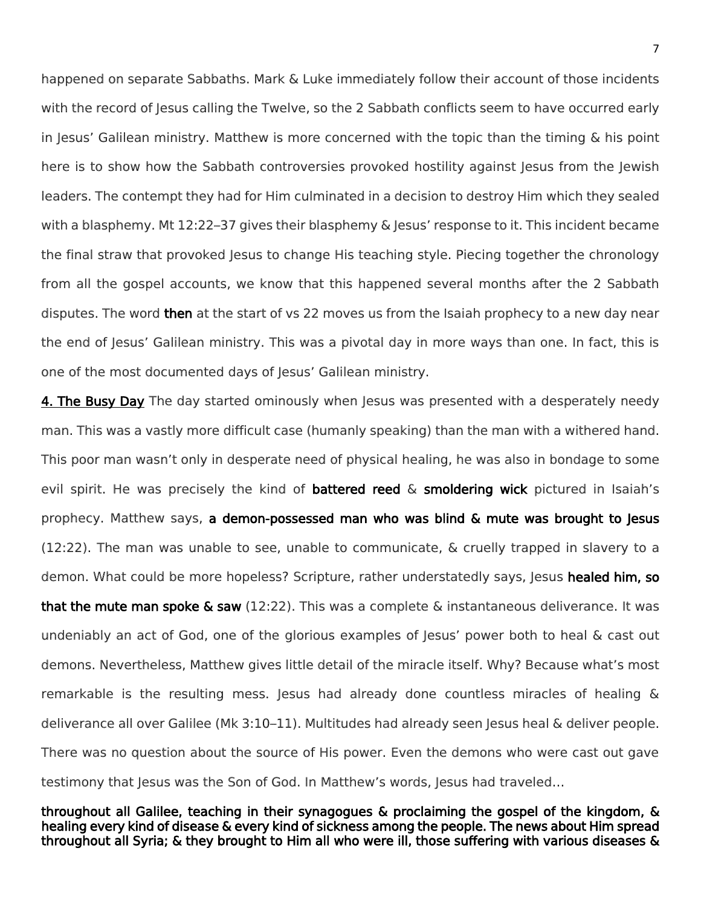happened on separate Sabbaths. Mark & Luke immediately follow their account of those incidents with the record of Jesus calling the Twelve, so the 2 Sabbath conflicts seem to have occurred early in Jesus' Galilean ministry. Matthew is more concerned with the topic than the timing  $\&$  his point here is to show how the Sabbath controversies provoked hostility against Jesus from the Jewish leaders. The contempt they had for Him culminated in a decision to destroy Him which they sealed with a blasphemy. Mt 12:22–37 gives their blasphemy & Jesus' response to it. This incident became the final straw that provoked Jesus to change His teaching style. Piecing together the chronology from all the gospel accounts, we know that this happened several months after the 2 Sabbath disputes. The word then at the start of vs 22 moves us from the Isaiah prophecy to a new day near the end of Jesus' Galilean ministry. This was a pivotal day in more ways than one. In fact, this is one of the most documented days of Jesus' Galilean ministry.

4. The Busy Day The day started ominously when Jesus was presented with a desperately needy man. This was a vastly more difficult case (humanly speaking) than the man with a withered hand. This poor man wasn't only in desperate need of physical healing, he was also in bondage to some evil spirit. He was precisely the kind of **battered reed**  $\&$  **smoldering wick** pictured in Isaiah's prophecy. Matthew says, a demon-possessed man who was blind & mute was brought to Jesus (12:22). The man was unable to see, unable to communicate, & cruelly trapped in slavery to a demon. What could be more hopeless? Scripture, rather understatedly says, Jesus healed him, so **that the mute man spoke & saw** (12:22). This was a complete & instantaneous deliverance. It was undeniably an act of God, one of the glorious examples of Jesus' power both to heal & cast out demons. Nevertheless, Matthew gives little detail of the miracle itself. Why? Because what's most remarkable is the resulting mess. Jesus had already done countless miracles of healing & deliverance all over Galilee (Mk 3:10–11). Multitudes had already seen Jesus heal & deliver people. There was no question about the source of His power. Even the demons who were cast out gave testimony that Jesus was the Son of God. In Matthew's words, Jesus had traveled...

throughout all Galilee, teaching in their synagogues & proclaiming the gospel of the kingdom, & healing every kind of disease & every kind of sickness among the people. The news about Him spread throughout all Syria; & they brought to Him all who were ill, those suffering with various diseases &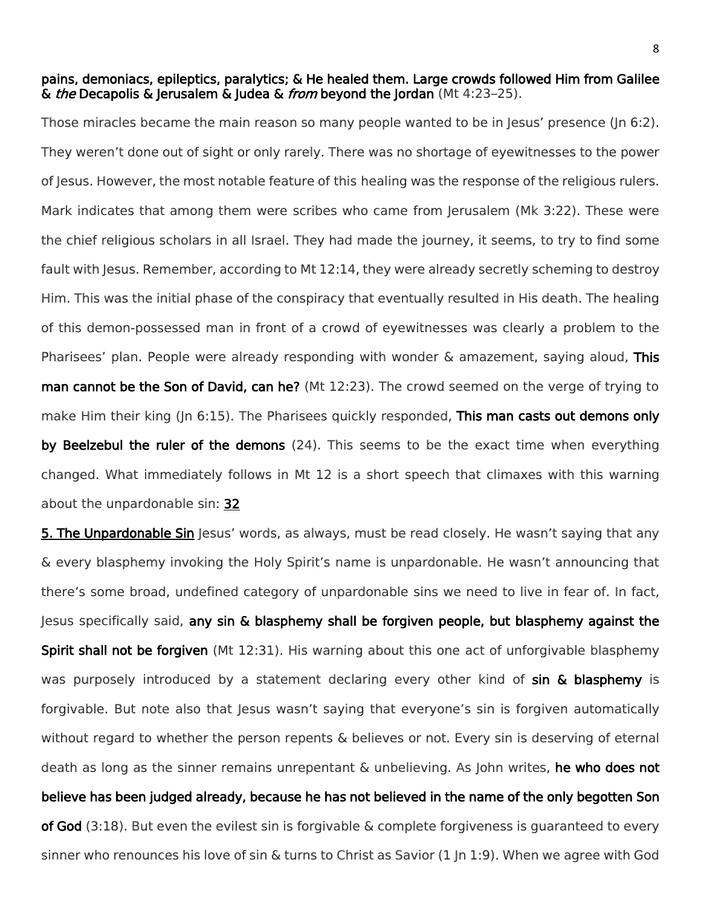pains, demoniacs, epileptics, paralytics; & He healed them. Large crowds followed Him from Galilee & *the* Decapolis & Jerusalem & Judea & *from* beyond the Jordan (Mt 4:23-25).

Those miracles became the main reason so many people wanted to be in Jesus' presence (Jn 6:2). They weren't done out of sight or only rarely. There was no shortage of eyewitnesses to the power of Jesus. However, the most notable feature of this healing was the response of the religious rulers. Mark indicates that among them were scribes who came from Jerusalem (Mk 3:22). These were the chief religious scholars in all Israel. They had made the journey, it seems, to try to find some fault with Jesus. Remember, according to Mt 12:14, they were already secretly scheming to destroy Him. This was the initial phase of the conspiracy that eventually resulted in His death. The healing of this demon-possessed man in front of a crowd of eyewitnesses was clearly a problem to the Pharisees' plan. People were already responding with wonder  $\&$  amazement, saying aloud, This man cannot be the Son of David, can he? (Mt 12:23). The crowd seemed on the verge of trying to make Him their king (In 6:15). The Pharisees quickly responded, This man casts out demons only by Beelzebul the ruler of the demons (24). This seems to be the exact time when everything changed. What immediately follows in Mt 12 is a short speech that climaxes with this warning about the unpardonable sin: 32

**5. The Unpardonable Sin** Jesus' words, as always, must be read closely. He wasn't saying that any & every blasphemy invoking the Holy Spirit's name is unpardonable. He wasn't announcing that there's some broad, undefined category of unpardonable sins we need to live in fear of. In fact, Jesus specifically said, any sin & blasphemy shall be forgiven people, but blasphemy against the Spirit shall not be forgiven (Mt 12:31). His warning about this one act of unforgivable blasphemy was purposely introduced by a statement declaring every other kind of sin & blasphemy is forgivable. But note also that Jesus wasn't saying that everyone's sin is forgiven automatically without regard to whether the person repents & believes or not. Every sin is deserving of eternal death as long as the sinner remains unrepentant & unbelieving. As John writes, he who does not believe has been judged already, because he has not believed in the name of the only begotten Son of God (3:18). But even the evilest sin is forgivable & complete forgiveness is guaranteed to every sinner who renounces his love of sin & turns to Christ as Savior (1 Jn 1:9). When we agree with God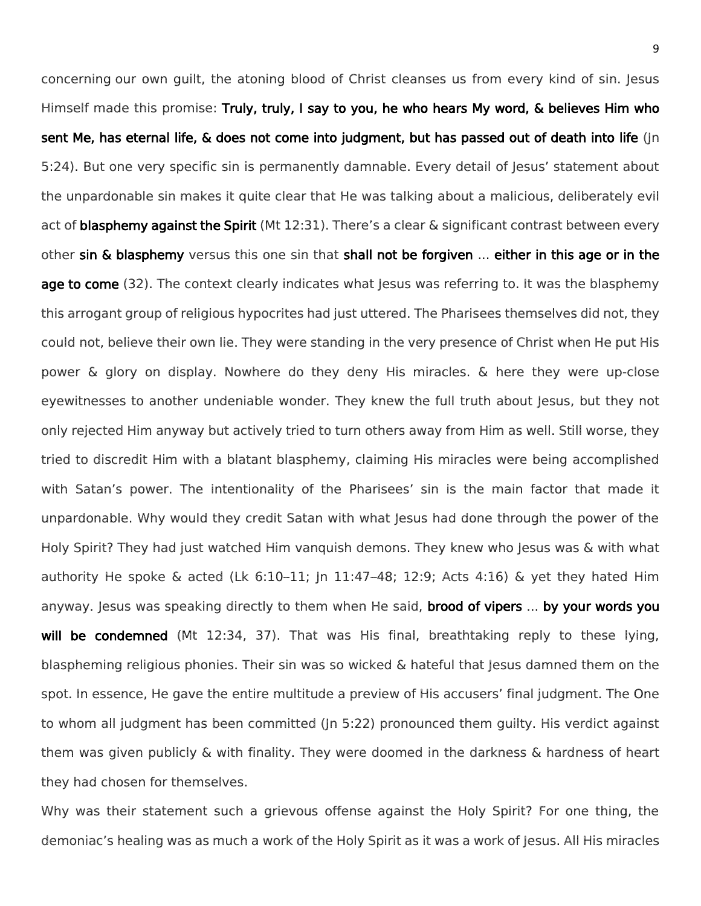concerning our own guilt, the atoning blood of Christ cleanses us from every kind of sin. Jesus Himself made this promise: Truly, truly, I say to you, he who hears My word, & believes Him who sent Me, has eternal life, & does not come into judgment, but has passed out of death into life (Jn 5:24). But one very specific sin is permanently damnable. Every detail of Jesus' statement about the unpardonable sin makes it quite clear that He was talking about a malicious, deliberately evil act of **blasphemy against the Spirit** (Mt 12:31). There's a clear & significant contrast between every other sin & blasphemy versus this one sin that shall not be forgiven ... either in this age or in the age to come (32). The context clearly indicates what lesus was referring to. It was the blasphemy this arrogant group of religious hypocrites had just uttered. The Pharisees themselves did not, they could not, believe their own lie. They were standing in the very presence of Christ when He put His power & glory on display. Nowhere do they deny His miracles. & here they were up-close eyewitnesses to another undeniable wonder. They knew the full truth about Jesus, but they not only rejected Him anyway but actively tried to turn others away from Him as well. Still worse, they tried to discredit Him with a blatant blasphemy, claiming His miracles were being accomplished with Satan's power. The intentionality of the Pharisees' sin is the main factor that made it unpardonable. Why would they credit Satan with what Jesus had done through the power of the Holy Spirit? They had just watched Him vanquish demons. They knew who Jesus was & with what authority He spoke & acted (Lk  $6:10-11$ ; Jn  $11:47-48$ ;  $12:9$ ; Acts  $4:16$ ) & yet they hated Him anyway. Jesus was speaking directly to them when He said, **brood of vipers ... by your words you** will be condemned (Mt 12:34, 37). That was His final, breathtaking reply to these lying, blaspheming religious phonies. Their sin was so wicked & hateful that Jesus damned them on the spot. In essence, He gave the entire multitude a preview of His accusers' final judgment. The One to whom all judgment has been committed (Jn 5:22) pronounced them guilty. His verdict against them was given publicly & with finality. They were doomed in the darkness & hardness of heart they had chosen for themselves.

Why was their statement such a grievous offense against the Holy Spirit? For one thing, the demoniac's healing was as much a work of the Holy Spirit as it was a work of Jesus. All His miracles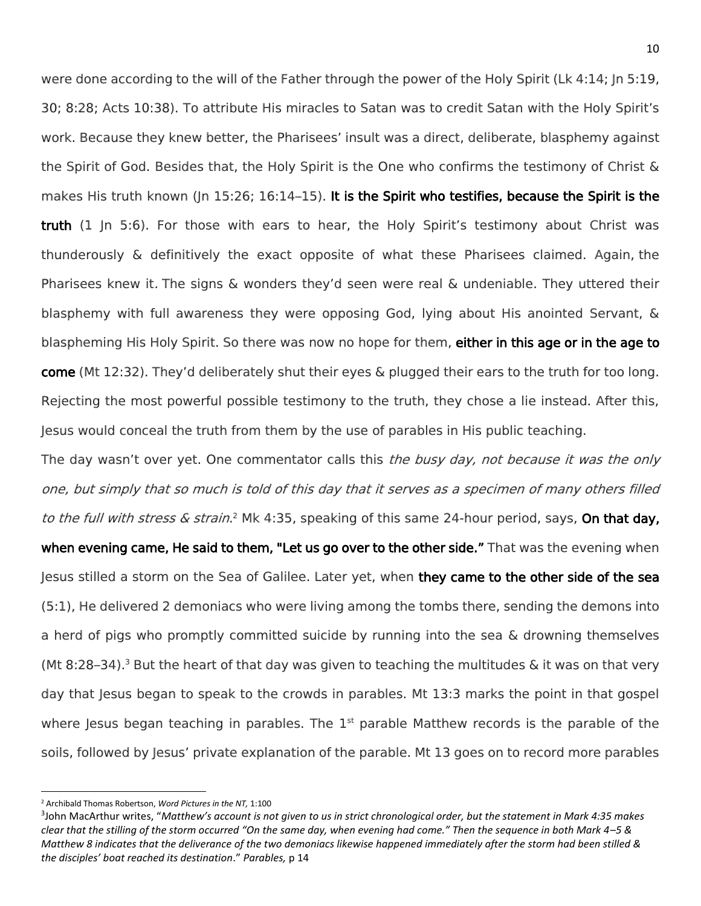were done according to the will of the Father through the power of the Holy Spirit (Lk 4:14; Jn 5:19, 30; 8:28; Acts 10:38). To attribute His miracles to Satan was to credit Satan with the Holy Spirit's work. Because they knew better, the Pharisees' insult was a direct, deliberate, blasphemy against the Spirit of God. Besides that, the Holy Spirit is the One who confirms the testimony of Christ & makes His truth known (Jn 15:26; 16:14–15). It is the Spirit who testifies, because the Spirit is the truth (1 Jn 5:6). For those with ears to hear, the Holy Spirit's testimony about Christ was thunderously & definitively the exact opposite of what these Pharisees claimed. Again, the Pharisees knew it. The signs & wonders they'd seen were real & undeniable. They uttered their blasphemy with full awareness they were opposing God, lying about His anointed Servant, & blaspheming His Holy Spirit. So there was now no hope for them, **either in this age or in the age to** come (Mt 12:32). They'd deliberately shut their eyes & plugged their ears to the truth for too long. Rejecting the most powerful possible testimony to the truth, they chose a lie instead. After this, Jesus would conceal the truth from them by the use of parables in His public teaching.

The day wasn't over yet. One commentator calls this the busy day, not because it was the only one, but simply that so much is told of this day that it serves as a specimen of many others filled to the full with stress & strain.<sup>2</sup> Mk 4:35, speaking of this same 24-hour period, says, On that day, when evening came, He said to them, "Let us go over to the other side." That was the evening when Jesus stilled a storm on the Sea of Galilee. Later yet, when they came to the other side of the sea (5:1), He delivered 2 demoniacs who were living among the tombs there, sending the demons into a herd of pigs who promptly committed suicide by running into the sea & drowning themselves (Mt 8:28–34).<sup>3</sup> But the heart of that day was given to teaching the multitudes & it was on that very day that Jesus began to speak to the crowds in parables. Mt 13:3 marks the point in that gospel where Jesus began teaching in parables. The  $1<sup>st</sup>$  parable Matthew records is the parable of the soils, followed by Jesus' private explanation of the parable. Mt 13 goes on to record more parables

 $\overline{a}$ 

<sup>2</sup> Archibald Thomas Robertson, *Word Pictures in the NT,* 1:100

<sup>3</sup> John MacArthur writes, "*Matthew's account is not given to us in strict chronological order, but the statement in Mark 4:35 makes clear that the stilling of the storm occurred "On the same day, when evening had come." Then the sequence in both Mark 4–5 & Matthew 8 indicates that the deliverance of the two demoniacs likewise happened immediately after the storm had been stilled & the disciples' boat reached its destination*." *Parables,* p 14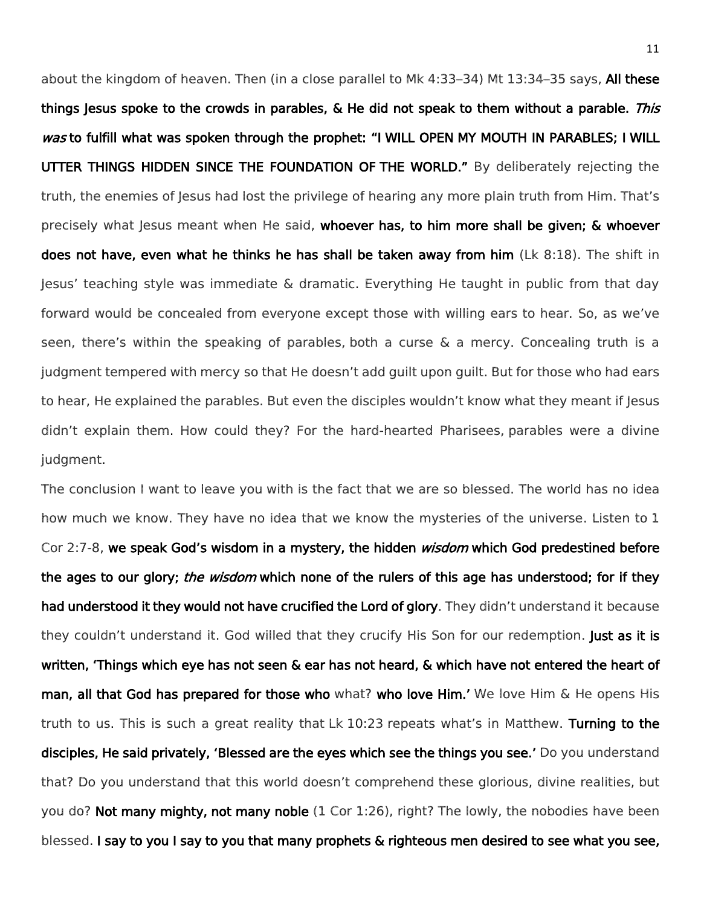about the kingdom of heaven. Then (in a close parallel to Mk 4:33-34) Mt 13:34-35 says, All these things Jesus spoke to the crowds in parables, & He did not speak to them without a parable. This was to fulfill what was spoken through the prophet: "I WILL OPEN MY MOUTH IN PARABLES; I WILL UTTER THINGS HIDDEN SINCE THE FOUNDATION OF THE WORLD." By deliberately rejecting the truth, the enemies of lesus had lost the privilege of hearing any more plain truth from Him. That's precisely what Jesus meant when He said, whoever has, to him more shall be given; & whoever does not have, even what he thinks he has shall be taken away from him (Lk 8:18). The shift in Jesus' teaching style was immediate & dramatic. Everything He taught in public from that day forward would be concealed from everyone except those with willing ears to hear. So, as we've seen, there's within the speaking of parables, both a curse & a mercy. Concealing truth is a judgment tempered with mercy so that He doesn't add guilt upon guilt. But for those who had ears to hear, He explained the parables. But even the disciples wouldn't know what they meant if Jesus didn't explain them. How could they? For the hard-hearted Pharisees, parables were a divine judgment.

The conclusion I want to leave you with is the fact that we are so blessed. The world has no idea how much we know. They have no idea that we know the mysteries of the universe. Listen to 1 Cor 2:7-8, we speak God's wisdom in a mystery, the hidden *wisdom* which God predestined before the ages to our glory; *the wisdom* which none of the rulers of this age has understood; for if they had understood it they would not have crucified the Lord of glory. They didn't understand it because they couldn't understand it. God willed that they crucify His Son for our redemption. Just as it is written, 'Things which eye has not seen & ear has not heard, & which have not entered the heart of man, all that God has prepared for those who what? who love Him.' We love Him & He opens His truth to us. This is such a great reality that Lk 10:23 repeats what's in Matthew. Turning to the disciples, He said privately, 'Blessed are the eyes which see the things you see.' Do you understand that? Do you understand that this world doesn't comprehend these glorious, divine realities, but you do? Not many mighty, not many noble (1 Cor 1:26), right? The lowly, the nobodies have been blessed. I say to you I say to you that many prophets & righteous men desired to see what you see,